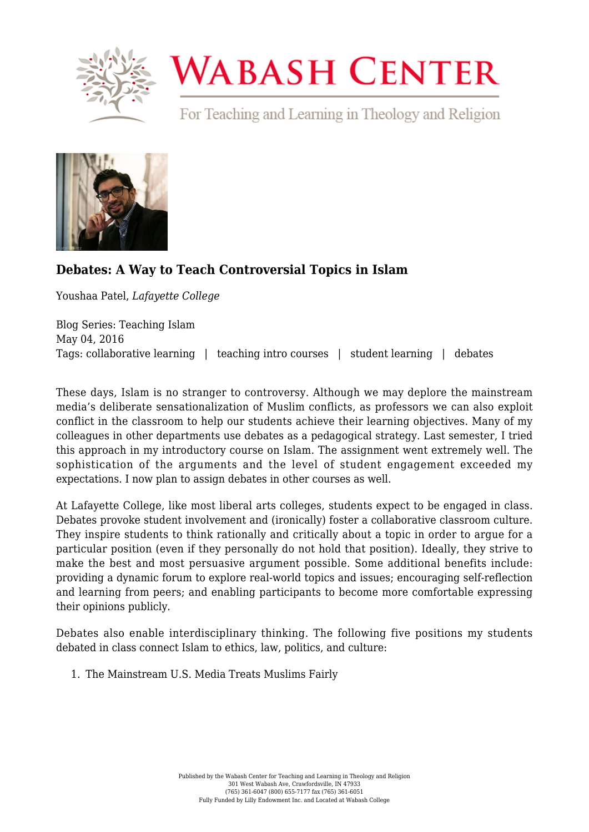

## **WABASH CENTER**

For Teaching and Learning in Theology and Religion



## **[Debates: A Way to Teach Controversial Topics in Islam](https://www.wabashcenter.wabash.edu/2016/05/debates-a-way-to-teach-controversial-topics-in-islam/)**

Youshaa Patel, *Lafayette College*

Blog Series: Teaching Islam May 04, 2016 Tags: collaborative learning | teaching intro courses | student learning | debates

These days, Islam is no stranger to controversy. Although we may deplore the mainstream media's deliberate sensationalization of Muslim conflicts, as professors we can also exploit conflict in the classroom to help our students achieve their learning objectives. Many of my colleagues in other departments use debates as a pedagogical strategy. Last semester, I tried this approach in my introductory course on Islam. The assignment went extremely well. The sophistication of the arguments and the level of student engagement exceeded my expectations. I now plan to assign debates in other courses as well.

At Lafayette College, like most liberal arts colleges, students expect to be engaged in class. Debates provoke student involvement and (ironically) foster a collaborative classroom culture. They inspire students to think rationally and critically about a topic in order to argue for a particular position (even if they personally do not hold that position). Ideally, they strive to make the best and most persuasive argument possible. Some additional benefits include: providing a dynamic forum to explore real-world topics and issues; encouraging self-reflection and learning from peers; and enabling participants to become more comfortable expressing their opinions publicly.

Debates also enable interdisciplinary thinking. The following five positions my students debated in class connect Islam to ethics, law, politics, and culture:

1. The Mainstream U.S. Media Treats Muslims Fairly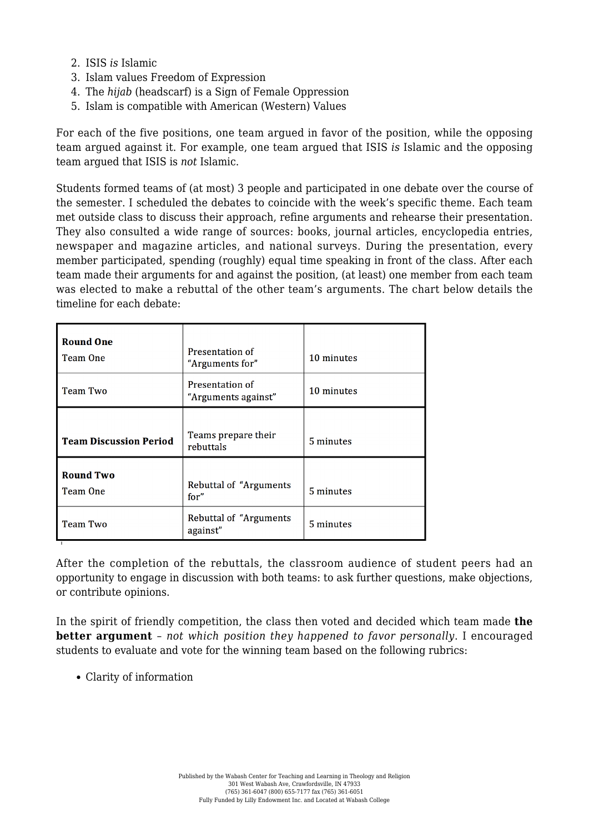- 2. ISIS *is* Islamic
- 3. Islam values Freedom of Expression
- 4. The *hijab* (headscarf) is a Sign of Female Oppression
- 5. Islam is compatible with American (Western) Values

For each of the five positions, one team argued in favor of the position, while the opposing team argued against it. For example, one team argued that ISIS *is* Islamic and the opposing team argued that ISIS is *not* Islamic.

Students formed teams of (at most) 3 people and participated in one debate over the course of the semester. I scheduled the debates to coincide with the week's specific theme. Each team met outside class to discuss their approach, refine arguments and rehearse their presentation. They also consulted a wide range of sources: books, journal articles, encyclopedia entries, newspaper and magazine articles, and national surveys. During the presentation, every member participated, spending (roughly) equal time speaking in front of the class. After each team made their arguments for and against the position, (at least) one member from each team was elected to make a rebuttal of the other team's arguments. The chart below details the timeline for each debate:

| <b>Round One</b><br>Team One  | Presentation of<br>"Arguments for"         | 10 minutes |
|-------------------------------|--------------------------------------------|------------|
| <b>Team Two</b>               | Presentation of<br>"Arguments against"     | 10 minutes |
| <b>Team Discussion Period</b> | Teams prepare their<br>rebuttals           | 5 minutes  |
| <b>Round Two</b><br>Team One  | Rebuttal of "Arguments"<br>for''           | 5 minutes  |
| <b>Team Two</b>               | <b>Rebuttal of "Arguments"</b><br>against" | 5 minutes  |

After the completion of the rebuttals, the classroom audience of student peers had an opportunity to engage in discussion with both teams: to ask further questions, make objections, or contribute opinions.

In the spirit of friendly competition, the class then voted and decided which team made **the better argument** – *not which position they happened to favor personally*. I encouraged students to evaluate and vote for the winning team based on the following rubrics:

Clarity of information